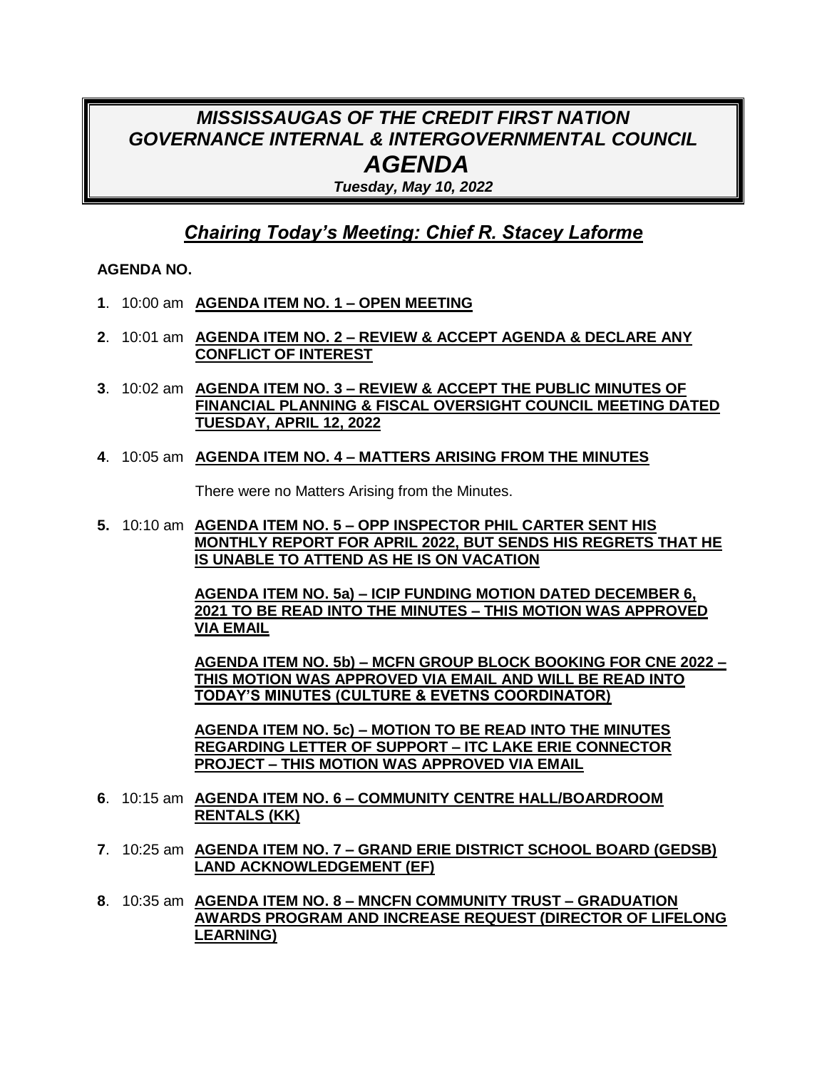# *MISSISSAUGAS OF THE CREDIT FIRST NATION GOVERNANCE INTERNAL & INTERGOVERNMENTAL COUNCIL AGENDA*

*Tuesday, May 10, 2022*

## *Chairing Today's Meeting: Chief R. Stacey Laforme*

### **AGENDA NO.**

- **1**. 10:00 am **AGENDA ITEM NO. 1 – OPEN MEETING**
- **2**. 10:01 am **AGENDA ITEM NO. 2 – REVIEW & ACCEPT AGENDA & DECLARE ANY CONFLICT OF INTEREST**
- **3**. 10:02 am **AGENDA ITEM NO. 3 – REVIEW & ACCEPT THE PUBLIC MINUTES OF FINANCIAL PLANNING & FISCAL OVERSIGHT COUNCIL MEETING DATED TUESDAY, APRIL 12, 2022**
- **4**. 10:05 am **AGENDA ITEM NO. 4 – MATTERS ARISING FROM THE MINUTES**

There were no Matters Arising from the Minutes.

**5.** 10:10 am **AGENDA ITEM NO. 5 – OPP INSPECTOR PHIL CARTER SENT HIS MONTHLY REPORT FOR APRIL 2022, BUT SENDS HIS REGRETS THAT HE IS UNABLE TO ATTEND AS HE IS ON VACATION**

> **AGENDA ITEM NO. 5a) – ICIP FUNDING MOTION DATED DECEMBER 6, 2021 TO BE READ INTO THE MINUTES – THIS MOTION WAS APPROVED VIA EMAIL**

**AGENDA ITEM NO. 5b) – MCFN GROUP BLOCK BOOKING FOR CNE 2022 – THIS MOTION WAS APPROVED VIA EMAIL AND WILL BE READ INTO TODAY'S MINUTES (CULTURE & EVETNS COORDINATOR)**

**AGENDA ITEM NO. 5c) – MOTION TO BE READ INTO THE MINUTES REGARDING LETTER OF SUPPORT – ITC LAKE ERIE CONNECTOR PROJECT – THIS MOTION WAS APPROVED VIA EMAIL**

- **6**. 10:15 am **AGENDA ITEM NO. 6 – COMMUNITY CENTRE HALL/BOARDROOM RENTALS (KK)**
- **7**. 10:25 am **AGENDA ITEM NO. 7 – GRAND ERIE DISTRICT SCHOOL BOARD (GEDSB) LAND ACKNOWLEDGEMENT (EF)**
- **8**. 10:35 am **AGENDA ITEM NO. 8 – MNCFN COMMUNITY TRUST – GRADUATION AWARDS PROGRAM AND INCREASE REQUEST (DIRECTOR OF LIFELONG LEARNING)**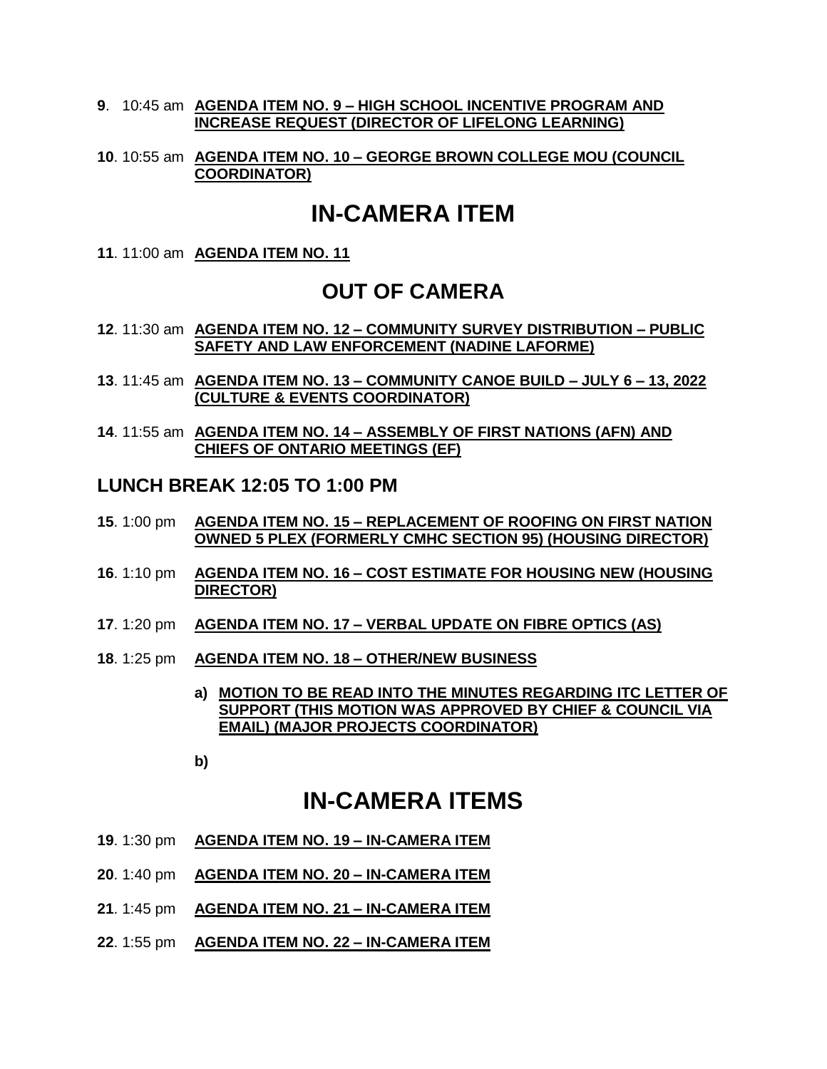#### **9**. 10:45 am **AGENDA ITEM NO. 9 – HIGH SCHOOL INCENTIVE PROGRAM AND INCREASE REQUEST (DIRECTOR OF LIFELONG LEARNING)**

#### **10**. 10:55 am **AGENDA ITEM NO. 10 – GEORGE BROWN COLLEGE MOU (COUNCIL COORDINATOR)**

# **IN-CAMERA ITEM**

**11**. 11:00 am **AGENDA ITEM NO. 11** 

### **OUT OF CAMERA**

- **12**. 11:30 am **AGENDA ITEM NO. 12 – COMMUNITY SURVEY DISTRIBUTION – PUBLIC SAFETY AND LAW ENFORCEMENT (NADINE LAFORME)**
- **13**. 11:45 am **AGENDA ITEM NO. 13 – COMMUNITY CANOE BUILD – JULY 6 – 13, 2022 (CULTURE & EVENTS COORDINATOR)**
- **14**. 11:55 am **AGENDA ITEM NO. 14 – ASSEMBLY OF FIRST NATIONS (AFN) AND CHIEFS OF ONTARIO MEETINGS (EF)**

### **LUNCH BREAK 12:05 TO 1:00 PM**

- **15**. 1:00 pm **AGENDA ITEM NO. 15 – REPLACEMENT OF ROOFING ON FIRST NATION OWNED 5 PLEX (FORMERLY CMHC SECTION 95) (HOUSING DIRECTOR)**
- **16**. 1:10 pm **AGENDA ITEM NO. 16 – COST ESTIMATE FOR HOUSING NEW (HOUSING DIRECTOR)**
- **17**. 1:20 pm **AGENDA ITEM NO. 17 – VERBAL UPDATE ON FIBRE OPTICS (AS)**
- **18**. 1:25 pm **AGENDA ITEM NO. 18 – OTHER/NEW BUSINESS**
	- **a) MOTION TO BE READ INTO THE MINUTES REGARDING ITC LETTER OF SUPPORT (THIS MOTION WAS APPROVED BY CHIEF & COUNCIL VIA EMAIL) (MAJOR PROJECTS COORDINATOR)**
	- **b)**

## **IN-CAMERA ITEMS**

- **19**. 1:30 pm **AGENDA ITEM NO. 19 – IN-CAMERA ITEM**
- **20**. 1:40 pm **AGENDA ITEM NO. 20 – IN-CAMERA ITEM**
- **21**. 1:45 pm **AGENDA ITEM NO. 21 – IN-CAMERA ITEM**
- **22**. 1:55 pm **AGENDA ITEM NO. 22 – IN-CAMERA ITEM**